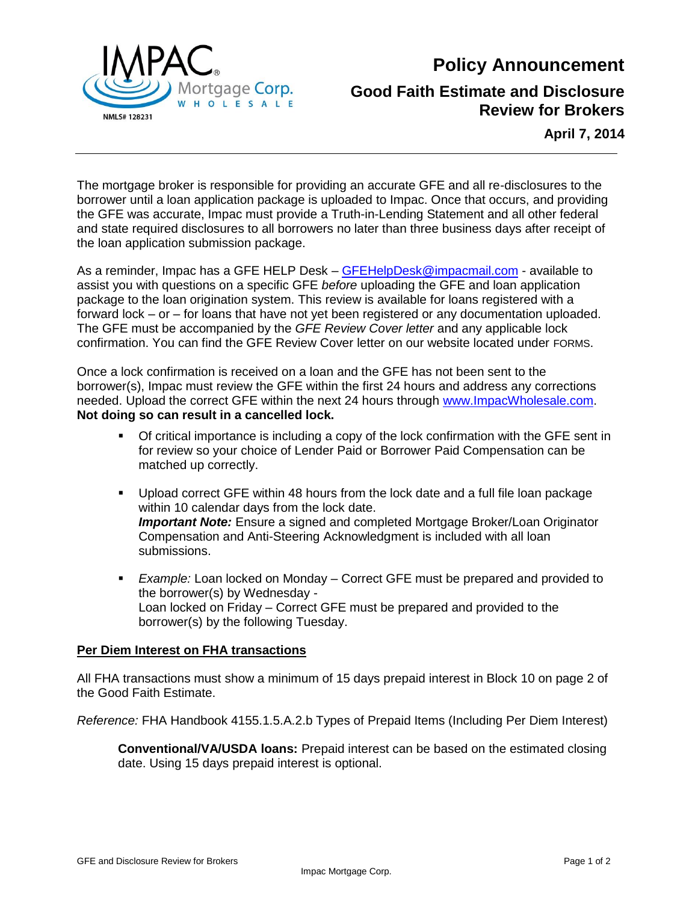**Policy Announcement**



### **Good Faith Estimate and Disclosure Review for Brokers**

**April 7, 2014**

The mortgage broker is responsible for providing an accurate GFE and all re-disclosures to the borrower until a loan application package is uploaded to Impac. Once that occurs, and providing the GFE was accurate, Impac must provide a Truth-in-Lending Statement and all other federal and state required disclosures to all borrowers no later than three business days after receipt of the loan application submission package.

As a reminder, Impac has a GFE HELP Desk – [GFEHelpDesk@impacmail.com](mailto:GFEHelpDesk@impacmail.com) - available to assist you with questions on a specific GFE *before* uploading the GFE and loan application package to the loan origination system. This review is available for loans registered with a forward lock – or – for loans that have not yet been registered or any documentation uploaded. The GFE must be accompanied by the *GFE Review Cover letter* and any applicable lock confirmation. You can find the GFE Review Cover letter on our website located under FORMS.

Once a lock confirmation is received on a loan and the GFE has not been sent to the borrower(s), Impac must review the GFE within the first 24 hours and address any corrections needed. Upload the correct GFE within the next 24 hours through [www.ImpacWholesale.com.](http://www.impacwholesale.com/) **Not doing so can result in a cancelled lock.** 

- Of critical importance is including a copy of the lock confirmation with the GFE sent in for review so your choice of Lender Paid or Borrower Paid Compensation can be matched up correctly.
- Upload correct GFE within 48 hours from the lock date and a full file loan package within 10 calendar days from the lock date. *Important Note:* Ensure a signed and completed Mortgage Broker/Loan Originator Compensation and Anti-Steering Acknowledgment is included with all loan submissions.
- *Example:* Loan locked on Monday Correct GFE must be prepared and provided to the borrower(s) by Wednesday - Loan locked on Friday – Correct GFE must be prepared and provided to the borrower(s) by the following Tuesday.

### **Per Diem Interest on FHA transactions**

All FHA transactions must show a minimum of 15 days prepaid interest in Block 10 on page 2 of the Good Faith Estimate.

*Reference:* FHA Handbook 4155.1.5.A.2.b Types of Prepaid Items (Including Per Diem Interest)

**Conventional/VA/USDA loans:** Prepaid interest can be based on the estimated closing date. Using 15 days prepaid interest is optional.